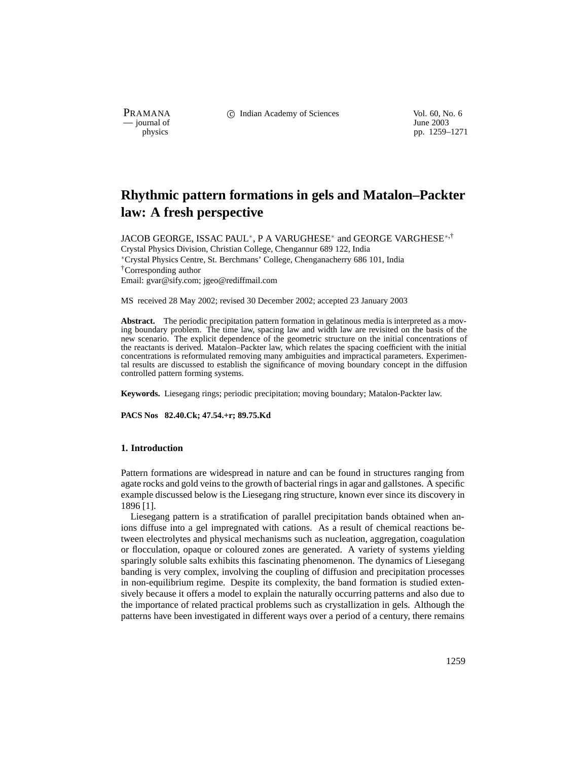— journal of<br>physics

PRAMANA 
<sup>c</sup> Indian Academy of Sciences 
<sup>Vol. 60, No. 6
<br>
— journal of *June 2003*</sup>

pp. 1259–1271

# **Rhythmic pattern formations in gels and Matalon–Packter law: A fresh perspective**

JACOB GEORGE, ISSAC PAUL<sup>\*</sup>, P A VARUGHESE<sup>\*</sup> and GEORGE VARGHESE<sup>\*,†</sup> Crystal Physics Division, Christian College, Chengannur 689 122, India Crystal Physics Centre, St. Berchmans' College, Chenganacherry 686 101, India †Corresponding author Email: gvar@sify.com; jgeo@rediffmail.com

MS received 28 May 2002; revised 30 December 2002; accepted 23 January 2003

**Abstract.** The periodic precipitation pattern formation in gelatinous media is interpreted as a moving boundary problem. The time law, spacing law and width law are revisited on the basis of the new scenario. The explicit dependence of the geometric structure on the initial concentrations of the reactants is derived. Matalon–Packter law, which relates the spacing coefficient with the initial concentrations is reformulated removing many ambiguities and impractical parameters. Experimental results are discussed to establish the significance of moving boundary concept in the diffusion controlled pattern forming systems.

**Keywords.** Liesegang rings; periodic precipitation; moving boundary; Matalon-Packter law.

**PACS Nos 82.40.Ck; 47.54.+r; 89.75.Kd**

# **1. Introduction**

Pattern formations are widespread in nature and can be found in structures ranging from agate rocks and gold veins to the growth of bacterial rings in agar and gallstones. A specific example discussed below is the Liesegang ring structure, known ever since its discovery in 1896 [1].

Liesegang pattern is a stratification of parallel precipitation bands obtained when anions diffuse into a gel impregnated with cations. As a result of chemical reactions between electrolytes and physical mechanisms such as nucleation, aggregation, coagulation or flocculation, opaque or coloured zones are generated. A variety of systems yielding sparingly soluble salts exhibits this fascinating phenomenon. The dynamics of Liesegang banding is very complex, involving the coupling of diffusion and precipitation processes in non-equilibrium regime. Despite its complexity, the band formation is studied extensively because it offers a model to explain the naturally occurring patterns and also due to the importance of related practical problems such as crystallization in gels. Although the patterns have been investigated in different ways over a period of a century, there remains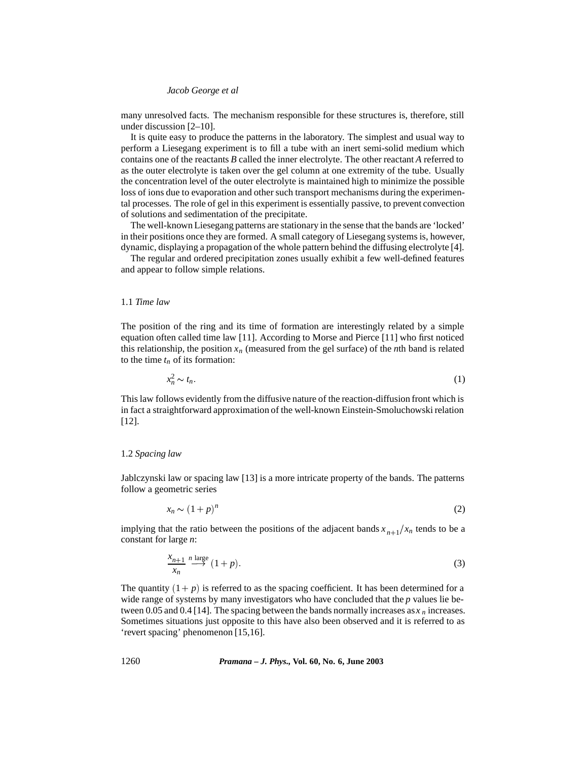many unresolved facts. The mechanism responsible for these structures is, therefore, still under discussion [2–10].

It is quite easy to produce the patterns in the laboratory. The simplest and usual way to perform a Liesegang experiment is to fill a tube with an inert semi-solid medium which contains one of the reactants *B* called the inner electrolyte. The other reactant *A* referred to as the outer electrolyte is taken over the gel column at one extremity of the tube. Usually the concentration level of the outer electrolyte is maintained high to minimize the possible loss of ions due to evaporation and other such transport mechanisms during the experimental processes. The role of gel in this experiment is essentially passive, to prevent convection of solutions and sedimentation of the precipitate.

The well-known Liesegang patterns are stationary in the sense that the bands are 'locked' in their positions once they are formed. A small category of Liesegang systems is, however, dynamic, displaying a propagation of the whole pattern behind the diffusing electrolyte [4].

The regular and ordered precipitation zones usually exhibit a few well-defined features and appear to follow simple relations.

# 1.1 *Time law*

The position of the ring and its time of formation are interestingly related by a simple equation often called time law [11]. According to Morse and Pierce [11] who first noticed this relationship, the position  $x_n$  (measured from the gel surface) of the *n*th band is related to the time  $t_n$  of its formation:

$$
x_n^2 \sim t_n. \tag{1}
$$

This law follows evidently from the diffusive nature of the reaction-diffusion front which is in fact a straightforward approximation of the well-known Einstein-Smoluchowski relation [12].

## 1.2 *Spacing law*

Jablczynski law or spacing law [13] is a more intricate property of the bands. The patterns follow a geometric series

$$
x_n \sim (1+p)^n \tag{2}
$$

implying that the ratio between the positions of the adjacent bands  $x_{n+1}/x_n$  tends to be a constant for large *n*:

$$
\frac{x_{n+1}}{x_n} \stackrel{n \text{ large}}{\longrightarrow} (1+p). \tag{3}
$$

The quantity  $(1 + p)$  is referred to as the spacing coefficient. It has been determined for a wide range of systems by many investigators who have concluded that the *p* values lie between 0.05 and 0.4 [14]. The spacing between the bands normally increases as  $x<sub>n</sub>$  increases. Sometimes situations just opposite to this have also been observed and it is referred to as 'revert spacing' phenomenon [15,16].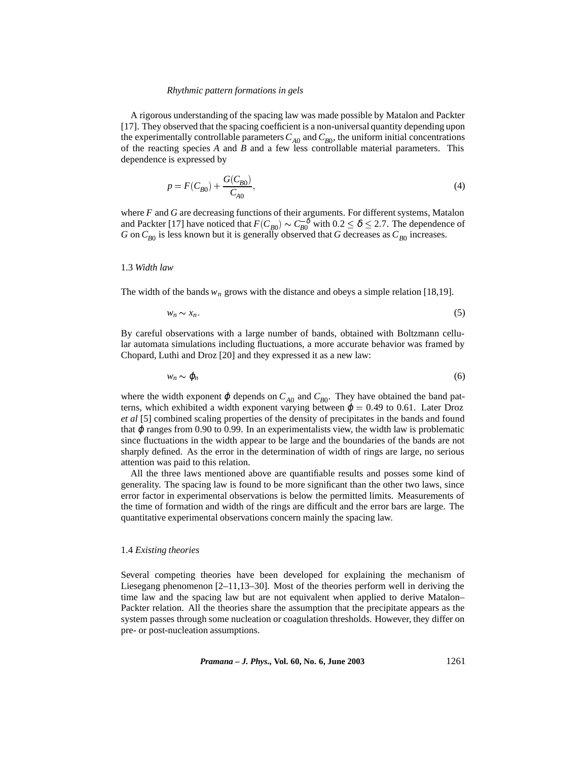A rigorous understanding of the spacing law was made possible by Matalon and Packter [17]. They observed that the spacing coefficient is a non-universal quantity depending upon the experimentally controllable parameters  $C_{A0}$  and  $C_{B0}$ , the uniform initial concentrations of the reacting species *A* and *B* and a few less controllable material parameters. This dependence is expressed by

$$
p = F(C_{B0}) + \frac{G(C_{B0})}{C_{A0}},
$$
\n(4)

where *F* and *G* are decreasing functions of their arguments. For different systems, Matalon and Packter [17] have noticed that  $F(C_{B0}) \sim C_{B0}^{-\delta}$  with  $0.2 \le \delta \le 2.7$ . The dependence of *G* on  $C_{B0}$  is less known but it is generally observed that *G* decreases as  $C_{B0}$  increases.

# 1.3 *Width law*

The width of the bands  $w_n$  grows with the distance and obeys a simple relation [18,19].

$$
w_n \sim x_n. \tag{5}
$$

By careful observations with a large number of bands, obtained with Boltzmann cellular automata simulations including fluctuations, a more accurate behavior was framed by Chopard, Luthi and Droz [20] and they expressed it as a new law:

$$
w_n \sim \varphi_n \tag{6}
$$

where the width exponent  $\varphi$  depends on  $C_{A0}$  and  $C_{B0}$ . They have obtained the band patterns, which exhibited a width exponent varying between  $\varphi = 0.49$  to 0.61. Later Droz *et al* [5] combined scaling properties of the density of precipitates in the bands and found that  $\varphi$  ranges from 0.90 to 0.99. In an experimentalists view, the width law is problematic since fluctuations in the width appear to be large and the boundaries of the bands are not sharply defined. As the error in the determination of width of rings are large, no serious attention was paid to this relation.

All the three laws mentioned above are quantifiable results and posses some kind of generality. The spacing law is found to be more significant than the other two laws, since error factor in experimental observations is below the permitted limits. Measurements of the time of formation and width of the rings are difficult and the error bars are large. The quantitative experimental observations concern mainly the spacing law.

# 1.4 *Existing theories*

Several competing theories have been developed for explaining the mechanism of Liesegang phenomenon [2–11,13–30]. Most of the theories perform well in deriving the time law and the spacing law but are not equivalent when applied to derive Matalon– Packter relation. All the theories share the assumption that the precipitate appears as the system passes through some nucleation or coagulation thresholds. However, they differ on pre- or post-nucleation assumptions.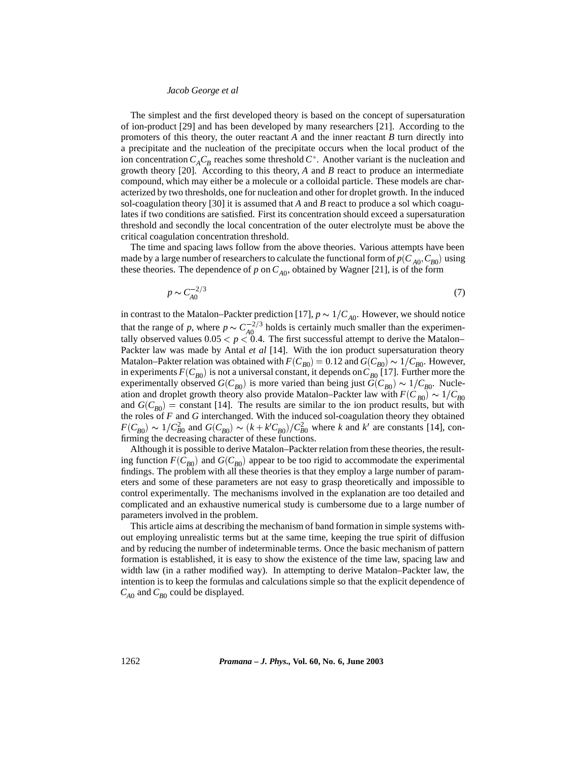The simplest and the first developed theory is based on the concept of supersaturation of ion-product [29] and has been developed by many researchers [21]. According to the promoters of this theory, the outer reactant *A* and the inner reactant *B* turn directly into a precipitate and the nucleation of the precipitate occurs when the local product of the ion concentration  $C_A C_B$  reaches some threshold  $C^*$ . Another variant is the nucleation and growth theory [20]. According to this theory, *A* and *B* react to produce an intermediate compound, which may either be a molecule or a colloidal particle. These models are characterized by two thresholds, one for nucleation and other for droplet growth. In the induced sol-coagulation theory [30] it is assumed that *A* and *B* react to produce a sol which coagulates if two conditions are satisfied. First its concentration should exceed a supersaturation threshold and secondly the local concentration of the outer electrolyte must be above the critical coagulation concentration threshold.

The time and spacing laws follow from the above theories. Various attempts have been made by a large number of researchers to calculate the functional form of  $p(C_{A0}, C_{B0})$  using these theories. The dependence of *p* on  $C_{A0}$ , obtained by Wagner [21], is of the form

$$
p \sim C_{A0}^{-2/3} \tag{7}
$$

in contrast to the Matalon–Packter prediction [17],  $p \sim 1/C_{A0}$ . However, we should notice that the range of *p*, where  $p \sim C_{A0}^{-2/3}$  holds is certainly much smaller than the experimentally observed values  $0.05 < p < 0.4$ . The first successful attempt to derive the Matalon– Packter law was made by Antal *et al* [14]. With the ion product supersaturation theory Matalon–Pakter relation was obtained with  $F(C_{B0}) = 0.12$  and  $G(C_{B0}) \sim 1/C_{B0}$ . However, in experiments  $F(C_{B0})$  is not a universal constant, it depends on  $C_{B0}$  [17]. Further more the experimentally observed  $G(C_{B0})$  is more varied than being just  $G(C_{B0}) \sim 1/C_{B0}$ . Nucleation and droplet growth theory also provide Matalon–Packter law with  $F(C_{B0}) \sim 1/C_{B0}$ and  $G(C_{B0})$  = constant [14]. The results are similar to the ion product results, but with the roles of *F* and *G* interchanged. With the induced sol-coagulation theory they obtained  $F(C_{B0}) \sim 1/C_{B0}^2$  and  $G(C_{B0}) \sim (k + k'C_{B0})/C_{B0}^2$  where *k* and *k'* are constants [14], confirming the decreasing character of these functions.

Although it is possible to derive Matalon–Packter relation from these theories, the resulting function  $F(C_{B0})$  and  $G(C_{B0})$  appear to be too rigid to accommodate the experimental findings. The problem with all these theories is that they employ a large number of parameters and some of these parameters are not easy to grasp theoretically and impossible to control experimentally. The mechanisms involved in the explanation are too detailed and complicated and an exhaustive numerical study is cumbersome due to a large number of parameters involved in the problem.

This article aims at describing the mechanism of band formation in simple systems without employing unrealistic terms but at the same time, keeping the true spirit of diffusion and by reducing the number of indeterminable terms. Once the basic mechanism of pattern formation is established, it is easy to show the existence of the time law, spacing law and width law (in a rather modified way). In attempting to derive Matalon–Packter law, the intention is to keep the formulas and calculations simple so that the explicit dependence of  $C_{A0}$  and  $C_{B0}$  could be displayed.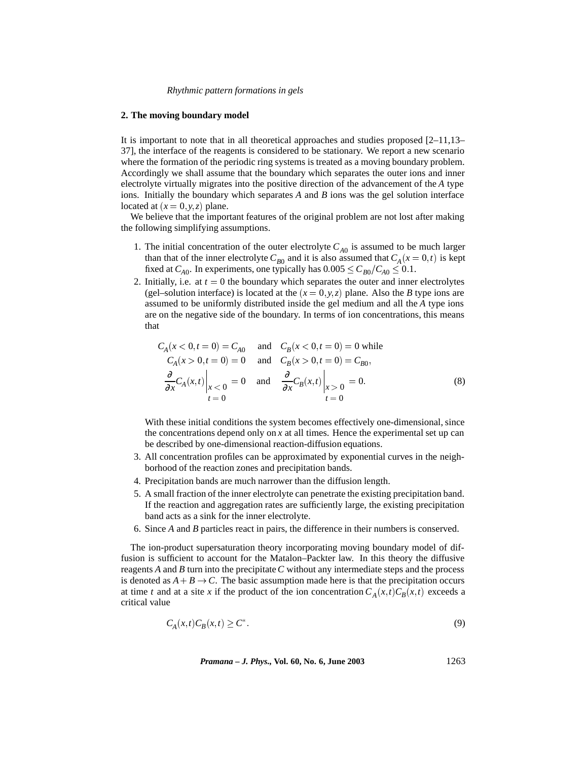## **2. The moving boundary model**

It is important to note that in all theoretical approaches and studies proposed [2–11,13– 37], the interface of the reagents is considered to be stationary. We report a new scenario where the formation of the periodic ring systems is treated as a moving boundary problem. Accordingly we shall assume that the boundary which separates the outer ions and inner electrolyte virtually migrates into the positive direction of the advancement of the *A* type ions. Initially the boundary which separates *A* and *B* ions was the gel solution interface located at  $(x = 0, y, z)$  plane.

We believe that the important features of the original problem are not lost after making the following simplifying assumptions.

- 1. The initial concentration of the outer electrolyte  $C_{A0}$  is assumed to be much larger than that of the inner electrolyte  $C_{B0}$  and it is also assumed that  $C_A(x=0,t)$  is kept fixed at  $C_{A0}$ . In experiments, one typically has  $0.005 \leq C_{B0}/C_{A0} \leq 0.1$ .
- 2. Initially, i.e. at  $t = 0$  the boundary which separates the outer and inner electrolytes (gel–solution interface) is located at the  $(x = 0, y, z)$  plane. Also the *B* type ions are assumed to be uniformly distributed inside the gel medium and all the *A* type ions are on the negative side of the boundary. In terms of ion concentrations, this means that

$$
C_A(x < 0, t = 0) = C_{A0} \quad \text{and} \quad C_B(x < 0, t = 0) = 0 \text{ while}
$$
  
\n
$$
C_A(x > 0, t = 0) = 0 \quad \text{and} \quad C_B(x > 0, t = 0) = C_{B0},
$$
  
\n
$$
\frac{\partial}{\partial x} C_A(x, t) \Big|_{x < 0} = 0 \quad \text{and} \quad \frac{\partial}{\partial x} C_B(x, t) \Big|_{x > 0} = 0.
$$
  
\n(8)

With these initial conditions the system becomes effectively one-dimensional, since the concentrations depend only on  $x$  at all times. Hence the experimental set up can be described by one-dimensional reaction-diffusion equations.

- 3. All concentration profiles can be approximated by exponential curves in the neighborhood of the reaction zones and precipitation bands.
- 4. Precipitation bands are much narrower than the diffusion length.
- 5. A small fraction of the inner electrolyte can penetrate the existing precipitation band. If the reaction and aggregation rates are sufficiently large, the existing precipitation band acts as a sink for the inner electrolyte.
- 6. Since *A* and *B* particles react in pairs, the difference in their numbers is conserved.

The ion-product supersaturation theory incorporating moving boundary model of diffusion is sufficient to account for the Matalon–Packter law. In this theory the diffusive reagents *A* and *B* turn into the precipitate*C* without any intermediate steps and the process is denoted as  $A + B \rightarrow C$ . The basic assumption made here is that the precipitation occurs at time *t* and at a site *x* if the product of the ion concentration  $C_A(x,t)C_B(x,t)$  exceeds a critical value

$$
C_A(x,t)C_B(x,t) \ge C^*.
$$
\n<sup>(9)</sup>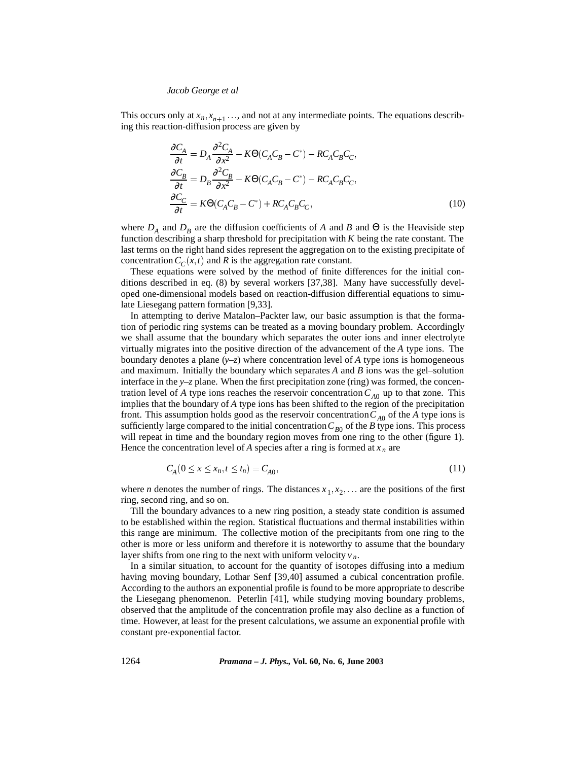This occurs only at  $x_n, x_{n+1}$  ..., and not at any intermediate points. The equations describing this reaction-diffusion process are given by

$$
\frac{\partial C_A}{\partial t} = D_A \frac{\partial^2 C_A}{\partial x^2} - K\Theta (C_A C_B - C^*) - RC_A C_B C_C,
$$
  
\n
$$
\frac{\partial C_B}{\partial t} = D_B \frac{\partial^2 C_B}{\partial x^2} - K\Theta (C_A C_B - C^*) - RC_A C_B C_C,
$$
  
\n
$$
\frac{\partial C_C}{\partial t} = K\Theta (C_A C_B - C^*) + RC_A C_B C_C,
$$
\n(10)

where  $D_A$  and  $D_B$  are the diffusion coefficients of *A* and *B* and  $\Theta$  is the Heaviside step function describing a sharp threshold for precipitation with *K* being the rate constant. The last terms on the right hand sides represent the aggregation on to the existing precipitate of concentration  $C_C(x,t)$  and R is the aggregation rate constant.

These equations were solved by the method of finite differences for the initial conditions described in eq. (8) by several workers [37,38]. Many have successfully developed one-dimensional models based on reaction-diffusion differential equations to simulate Liesegang pattern formation [9,33].

In attempting to derive Matalon–Packter law, our basic assumption is that the formation of periodic ring systems can be treated as a moving boundary problem. Accordingly we shall assume that the boundary which separates the outer ions and inner electrolyte virtually migrates into the positive direction of the advancement of the *A* type ions. The boundary denotes a plane  $(y-z)$  where concentration level of *A* type ions is homogeneous and maximum. Initially the boundary which separates *A* and *B* ions was the gel–solution interface in the *y*–*z* plane. When the first precipitation zone (ring) was formed, the concentration level of *A* type ions reaches the reservoir concentration  $C_{A0}$  up to that zone. This implies that the boundary of *A* type ions has been shifted to the region of the precipitation front. This assumption holds good as the reservoir concentration  $C_{A0}$  of the *A* type ions is sufficiently large compared to the initial concentration  $C_{B0}$  of the *B* type ions. This process will repeat in time and the boundary region moves from one ring to the other (figure 1). Hence the concentration level of *A* species after a ring is formed at  $x_n$  are

$$
C_A (0 \le x \le x_n, t \le t_n) = C_{A0}, \tag{11}
$$

where *n* denotes the number of rings. The distances  $x_1, x_2, \ldots$  are the positions of the first ring, second ring, and so on.

Till the boundary advances to a new ring position, a steady state condition is assumed to be established within the region. Statistical fluctuations and thermal instabilities within this range are minimum. The collective motion of the precipitants from one ring to the other is more or less uniform and therefore it is noteworthy to assume that the boundary layer shifts from one ring to the next with uniform velocity  $v_n$ .

In a similar situation, to account for the quantity of isotopes diffusing into a medium having moving boundary, Lothar Senf [39,40] assumed a cubical concentration profile. According to the authors an exponential profile is found to be more appropriate to describe the Liesegang phenomenon. Peterlin [41], while studying moving boundary problems, observed that the amplitude of the concentration profile may also decline as a function of time. However, at least for the present calculations, we assume an exponential profile with constant pre-exponential factor.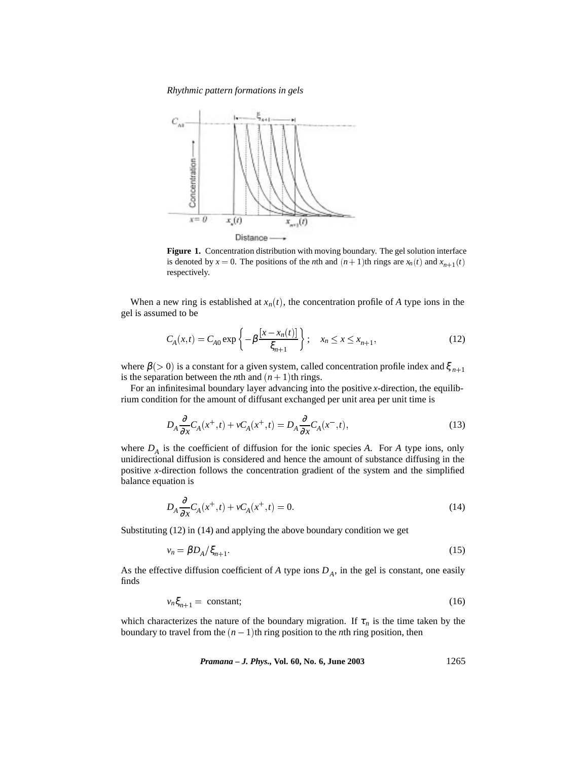*Rhythmic pattern formations in gels*



**Figure 1.** Concentration distribution with moving boundary. The gel solution interface is denoted by  $x = 0$ . The positions of the *n*th and  $(n + 1)$ th rings are  $x_n(t)$  and  $x_{n+1}(t)$ respectively.

When a new ring is established at  $x_n(t)$ , the concentration profile of A type ions in the gel is assumed to be

$$
C_A(x,t) = C_{A0} \exp\left\{-\beta \frac{[x - x_n(t)]}{\xi_{n+1}}\right\}; \quad x_n \le x \le x_{n+1},
$$
\n(12)

where  $\beta$  (> 0) is a constant for a given system, called concentration profile index and  $\xi$ <sub>n+1</sub> is the separation between the *n*th and  $(n + 1)$ th rings.

For an infinitesimal boundary layer advancing into the positive *x*-direction, the equilibrium condition for the amount of diffusant exchanged per unit area per unit time is

$$
D_A \frac{\partial}{\partial x} C_A(x^+,t) + v C_A(x^+,t) = D_A \frac{\partial}{\partial x} C_A(x^-,t),\tag{13}
$$

where  $D_A$  is the coefficient of diffusion for the ionic species *A*. For *A* type ions, only unidirectional diffusion is considered and hence the amount of substance diffusing in the positive *x*-direction follows the concentration gradient of the system and the simplified balance equation is

$$
D_A \frac{\partial}{\partial x} C_A(x^+,t) + v C_A(x^+,t) = 0.
$$
\n(14)

Substituting (12) in (14) and applying the above boundary condition we get

$$
v_n = \beta D_A / \xi_{n+1}.
$$
\n<sup>(15)</sup>

As the effective diffusion coefficient of *A* type ions  $D_A$ , in the gel is constant, one easily finds

$$
v_n \xi_{n+1} = \text{constant};\tag{16}
$$

which characterizes the nature of the boundary migration. If  $\tau_n$  is the time taken by the boundary to travel from the  $(n - 1)$ th ring position to the *n*th ring position, then

*Pramana – J. Phys.,* **Vol. 60, No. 6, June 2003** 1265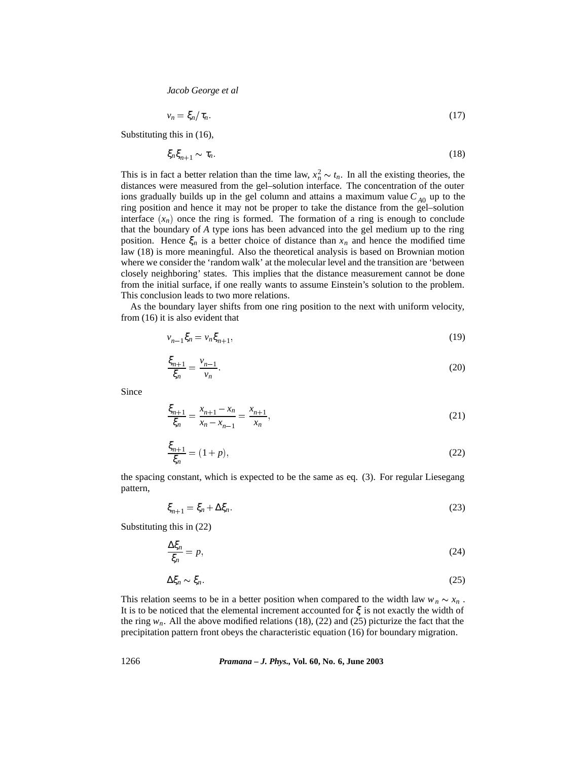$$
v_n = \xi_n / \tau_n. \tag{17}
$$

Substituting this in (16),

$$
\xi_n \xi_{n+1} \sim \tau_n. \tag{18}
$$

This is in fact a better relation than the time law,  $x_n^2 \sim t_n$ . In all the existing theories, the distances were measured from the gel–solution interface. The concentration of the outer ions gradually builds up in the gel column and attains a maximum value  $C_{A0}$  up to the ring position and hence it may not be proper to take the distance from the gel–solution interface  $(x_n)$  once the ring is formed. The formation of a ring is enough to conclude that the boundary of *A* type ions has been advanced into the gel medium up to the ring position. Hence  $\xi_n$  is a better choice of distance than  $x_n$  and hence the modified time law (18) is more meaningful. Also the theoretical analysis is based on Brownian motion where we consider the 'random walk' at the molecular level and the transition are 'between closely neighboring' states. This implies that the distance measurement cannot be done from the initial surface, if one really wants to assume Einstein's solution to the problem. This conclusion leads to two more relations.

As the boundary layer shifts from one ring position to the next with uniform velocity, from (16) it is also evident that

$$
v_{n-1}\xi_n = v_n \xi_{n+1},\tag{19}
$$

$$
\frac{\xi_{n+1}}{\xi_n} = \frac{\nu_{n-1}}{\nu_n}.\tag{20}
$$

Since

$$
\frac{\xi_{n+1}}{\xi_n} = \frac{x_{n+1} - x_n}{x_n - x_{n-1}} = \frac{x_{n+1}}{x_n},\tag{21}
$$

$$
\frac{\xi_{n+1}}{\xi_n} = (1+p),\tag{22}
$$

the spacing constant, which is expected to be the same as eq. (3). For regular Liesegang pattern,

$$
\xi_{n+1} = \xi_n + \Delta \xi_n. \tag{23}
$$

Substituting this in (22)

$$
\frac{\Delta \xi_n}{\xi_n} = p,\tag{24}
$$

$$
\Delta \xi_n \sim \xi_n. \tag{25}
$$

This relation seems to be in a better position when compared to the width law  $w_n \sim x_n$ . It is to be noticed that the elemental increment accounted for  $\xi$  is not exactly the width of the ring  $w_n$ . All the above modified relations (18), (22) and (25) picturize the fact that the precipitation pattern front obeys the characteristic equation (16) for boundary migration.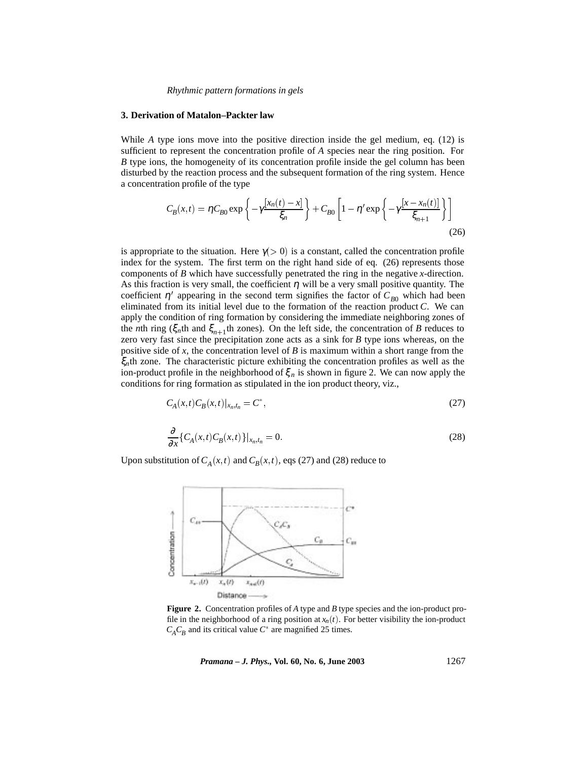#### **3. Derivation of Matalon–Packter law**

While *A* type ions move into the positive direction inside the gel medium, eq. (12) is sufficient to represent the concentration profile of *A* species near the ring position. For *B* type ions, the homogeneity of its concentration profile inside the gel column has been disturbed by the reaction process and the subsequent formation of the ring system. Hence a concentration profile of the type

$$
C_B(x,t) = \eta C_{B0} \exp\left\{-\gamma \frac{[x_n(t) - x]}{\xi_n}\right\} + C_{B0} \left[1 - \eta' \exp\left\{-\gamma \frac{[x - x_n(t)]}{\xi_{n+1}}\right\}\right]
$$
(26)

is appropriate to the situation. Here  $\gamma$ (> 0) is a constant, called the concentration profile index for the system. The first term on the right hand side of eq. (26) represents those components of *B* which have successfully penetrated the ring in the negative *x*-direction. As this fraction is very small, the coefficient  $\eta$  will be a very small positive quantity. The coefficient  $\eta'$  appearing in the second term signifies the factor of  $C_{B0}$  which had been eliminated from its initial level due to the formation of the reaction product *C*. We can apply the condition of ring formation by considering the immediate neighboring zones of the *n*th ring ( $\xi_n$ th and  $\xi_{n+1}$ <sup>th</sup> zones). On the left side, the concentration of *B* reduces to zero very fast since the precipitation zone acts as a sink for *B* type ions whereas, on the positive side of *x*, the concentration level of *B* is maximum within a short range from the ξ*n*th zone. The characteristic picture exhibiting the concentration profiles as well as the ion-product profile in the neighborhood of  $\xi_n$  is shown in figure 2. We can now apply the conditions for ring formation as stipulated in the ion product theory, viz.,

$$
C_A(x,t)C_B(x,t)|_{x_n,t_n} = C^*,
$$
\n(27)

$$
\frac{\partial}{\partial x}\left\{C_A(x,t)C_B(x,t)\right\}\big|_{x_n,t_n} = 0.
$$
\n(28)

Upon substitution of  $C_A(x,t)$  and  $C_B(x,t)$ , eqs (27) and (28) reduce to



**Figure 2.** Concentration profiles of *A* type and *B* type species and the ion-product profile in the neighborhood of a ring position at  $x_n(t)$ . For better visibility the ion-product  $C_A C_B$  and its critical value  $C^*$  are magnified 25 times.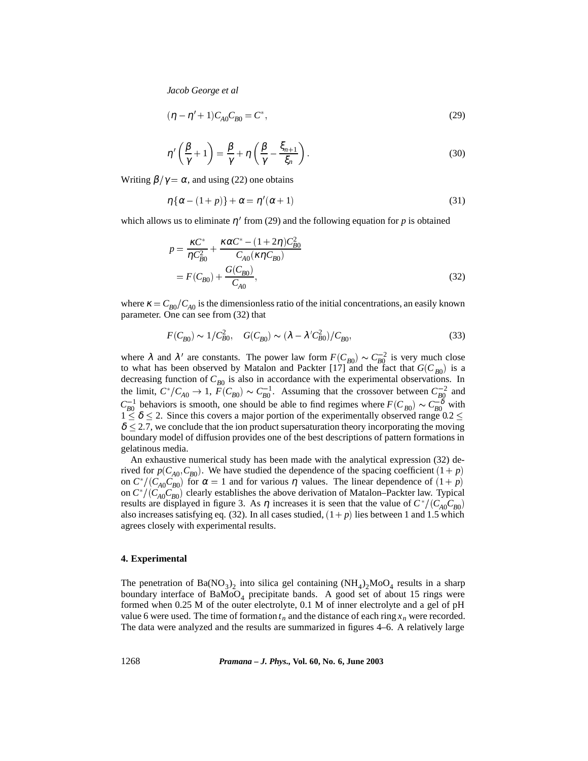$$
(\eta - \eta' + 1)C_{A0}C_{B0} = C^*,
$$
\n(29)

$$
\eta'\left(\frac{\beta}{\gamma}+1\right) = \frac{\beta}{\gamma} + \eta\left(\frac{\beta}{\gamma} - \frac{\xi_{n+1}}{\xi_n}\right). \tag{30}
$$

Writing  $\beta/\gamma = \alpha$ , and using (22) one obtains

$$
\eta\{\alpha - (1+p)\} + \alpha = \eta'(\alpha+1) \tag{31}
$$

which allows us to eliminate  $\eta'$  from (29) and the following equation for p is obtained

$$
p = \frac{\kappa C^*}{\eta C_{B0}^2} + \frac{\kappa \alpha C^* - (1 + 2\eta)C_{B0}^2}{C_{A0}(\kappa \eta C_{B0})}
$$
  
=  $F(C_{B0}) + \frac{G(C_{B0})}{C_{A0}},$  (32)

where  $\kappa = C_{B0}/C_{A0}$  is the dimensionless ratio of the initial concentrations, an easily known parameter. One can see from (32) that

$$
F(C_{B0}) \sim 1/C_{B0}^2
$$
,  $G(C_{B0}) \sim (\lambda - \lambda' C_{B0}^2)/C_{B0}$ , (33)

where  $\lambda$  and  $\lambda'$  are constants. The power law form  $F(C_{B0}) \sim C_{B0}^{-2}$  is very much close to what has been observed by Matalon and Packter [17] and the fact that  $G(C_{B0})$  is a decreasing function of  $C_{B0}$  is also in accordance with the experimental observations. In the limit,  $C^*/C_{A0} \to 1$ ,  $F(C_{B0}) \sim C_{B0}^{-1}$ . Assuming that the crossover between  $C_{B0}^{-2}$  and  $C_{B0}^{-1}$  behaviors is smooth, one should be able to find regimes where  $F(C_{B0}) \sim C_{B0}^{-\delta}$  with  $1 \leq \delta \leq 2$ . Since this covers a major portion of the experimentally observed range 0.2  $\leq$  $\delta$  < 2.7, we conclude that the ion product supersaturation theory incorporating the moving boundary model of diffusion provides one of the best descriptions of pattern formations in gelatinous media.

An exhaustive numerical study has been made with the analytical expression (32) derived for  $p(C_{A0}, C_{B0})$ . We have studied the dependence of the spacing coefficient  $(1 + p)$ on  $C^*/(C_{A0}C_{B0})$  for  $\alpha = 1$  and for various  $\eta$  values. The linear dependence of  $(1 + p)$ on  $C^*/(C_{A0}C_{B0})$  clearly establishes the above derivation of Matalon–Packter law. Typical results are displayed in figure 3. As  $\eta$  increases it is seen that the value of  $C^*/(C_{A0}C_{B0})$ also increases satisfying eq. (32). In all cases studied,  $(1+p)$  lies between 1 and 1.5 which agrees closely with experimental results.

## **4. Experimental**

The penetration of Ba(NO<sub>3</sub>)<sub>2</sub> into silica gel containing (NH<sub>4</sub>)<sub>2</sub>MoO<sub>4</sub> results in a sharp boundary interface of  $BaMoO<sub>4</sub>$  precipitate bands. A good set of about 15 rings were formed when 0.25 M of the outer electrolyte, 0.1 M of inner electrolyte and a gel of pH value 6 were used. The time of formation  $t_n$  and the distance of each ring  $x_n$  were recorded. The data were analyzed and the results are summarized in figures 4–6. A relatively large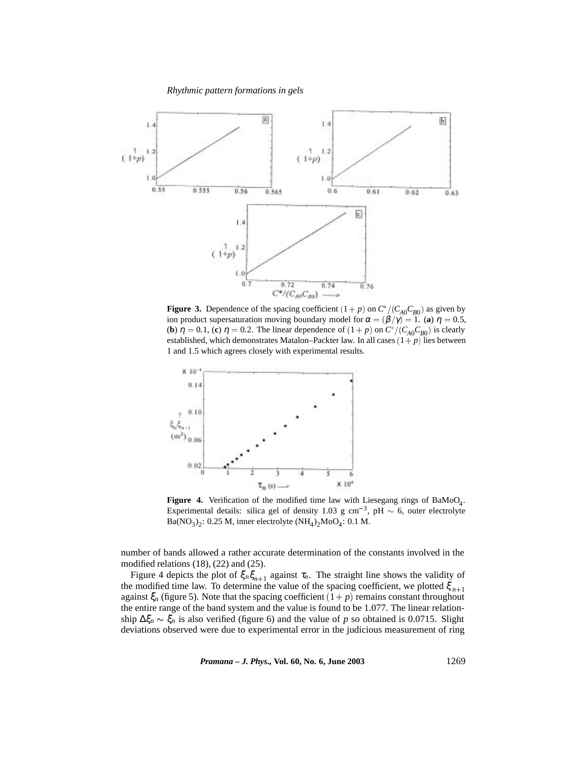

**Figure 3.** Dependence of the spacing coefficient  $(1 + p)$  on  $C^*/(C_{A0}C_{B0})$  as given by ion product supersaturation moving boundary model for  $\alpha = (\beta/\gamma) = 1$ . (**a**)  $\eta = 0.5$ , (**b**)  $\eta = 0.1$ , (**c**)  $\eta = 0.2$ . The linear dependence of  $(1 + p)$  on  $C^*/(C_{A0}C_{B0})$  is clearly established, which demonstrates Matalon–Packter law. In all cases  $(1+p)$  lies between 1 and 1.5 which agrees closely with experimental results.



**Figure 4.** Verification of the modified time law with Liesegang rings of  $BaMoO<sub>4</sub>$ . Experimental details: silica gel of density 1.03 g cm<sup>-3</sup>, pH  $\sim$  6, outer electrolyte Ba( $NO<sub>3</sub>$ )<sub>2</sub>: 0.25 M, inner electrolyte (NH<sub>4</sub>)<sub>2</sub>MoO<sub>4</sub>: 0.1 M.

number of bands allowed a rather accurate determination of the constants involved in the modified relations (18), (22) and (25).

Figure 4 depicts the plot of  $\xi_n \xi_{n+1}$  against  $\tau_n$ . The straight line shows the validity of the modified time law. To determine the value of the spacing coefficient, we plotted  $\xi_{n+1}$ against  $\xi_n$  (figure 5). Note that the spacing coefficient  $(1+p)$  remains constant throughout the entire range of the band system and the value is found to be 1.077. The linear relationship  $\Delta \xi_n \sim \xi_n$  is also verified (figure 6) and the value of *p* so obtained is 0.0715. Slight deviations observed were due to experimental error in the judicious measurement of ring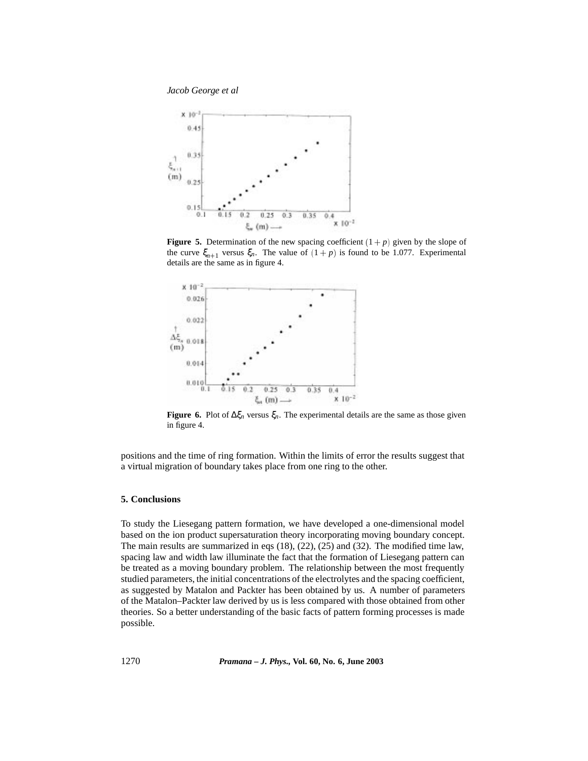*Jacob George et al*



**Figure 5.** Determination of the new spacing coefficient  $(1 + p)$  given by the slope of the curve  $\xi_{n+1}$  versus  $\xi_n$ . The value of  $(1 + p)$  is found to be 1.077. Experimental details are the same as in figure 4.



**Figure 6.** Plot of  $\Delta \xi_n$  versus  $\xi_n$ . The experimental details are the same as those given in figure 4.

positions and the time of ring formation. Within the limits of error the results suggest that a virtual migration of boundary takes place from one ring to the other.

# **5. Conclusions**

To study the Liesegang pattern formation, we have developed a one-dimensional model based on the ion product supersaturation theory incorporating moving boundary concept. The main results are summarized in eqs (18), (22), (25) and (32). The modified time law, spacing law and width law illuminate the fact that the formation of Liesegang pattern can be treated as a moving boundary problem. The relationship between the most frequently studied parameters, the initial concentrations of the electrolytes and the spacing coefficient, as suggested by Matalon and Packter has been obtained by us. A number of parameters of the Matalon–Packter law derived by us is less compared with those obtained from other theories. So a better understanding of the basic facts of pattern forming processes is made possible.